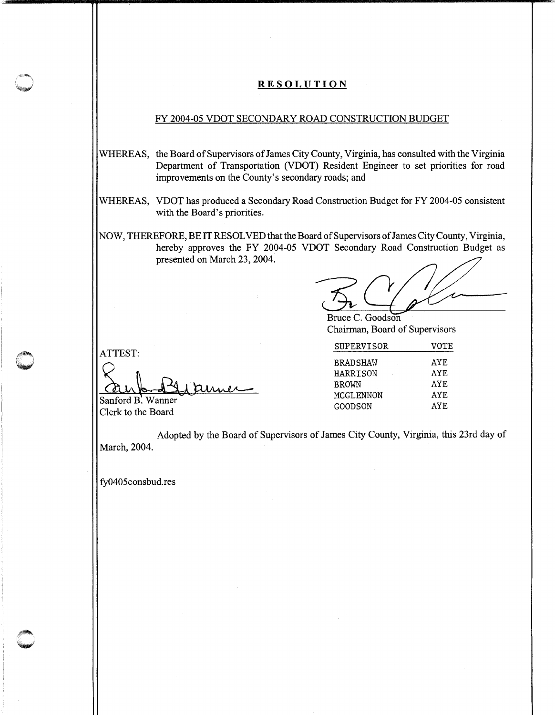### **RESOLUTION**

#### FY 2004-05 VDOT SECONDARY ROAD CONSTRUCTION BUDGET

- WHEREAS, the Board of Supervisors of James City County, Virginia, has consulted with the Virginia Department of Transportation (VDOT) Resident Engineer to set priorities for road improvements on the County's secondary roads; and
- WHEREAS, VDOT has produced a Secondary Road Construction Budget for FY 2004-05 consistent with the Board's priorities.
- NOW, THEREFORE, BE IT RESOLVED thatthe Board of Supervisors of James City County, Virginia, hereby approves the FY 2004-05 VDOT Secondary Road Construction Budget as presented on March 23, 2004.

Bruce C. Goodson Chairman, Board of Supervisors

|                        | <b>SUPERVISOR</b> | VOTE |
|------------------------|-------------------|------|
| ATTEST:                | <b>BRADSHAW</b>   | AYE  |
|                        | <b>HARRISON</b>   | AYE  |
|                        | <b>BROWN</b>      | AYE  |
| Sanford B. Wanner      | MCGLENNON         | AYE  |
| $C1$ aule ta tha Daond | GOODSON           | AYE  |

Clerk to the Board

Adopted by the Board of Supervisors of James City County, Virginia, this 23rd day of March, 2004.

fy0405consbud.res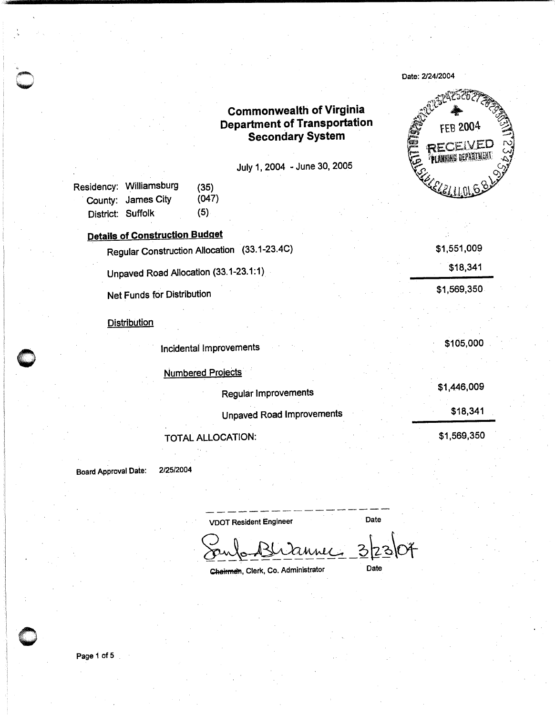## **Commonwealth of Virginia Department of Transportation Secondary System**

July 1, 2004 - June 30, 2005

|                   | Residency: Williamsburg | (35)  |
|-------------------|-------------------------|-------|
|                   | County: James City      | (047) |
| District: Suffolk |                         | (5)   |

### **Details of Construction Budget**

Regular Construction Allocation (33.1-23.4C)

Unpaved Road Allocation (33.1-23.1:1)

**Net Funds for Distribution** 

#### **Distribution**

Incidental Improvements

**Numbered Projects** \$1,446,009 **Regular Improvements** \$18,341 **Unpaved Road Improvements** \$1,569,350 TOTAL ALLOCATION:

**Board Approval Date:** 

2/25/2004

**VDOT Resident Engineer** Date

Date

Chairman, Clerk, Co. Administrator



\$1,551,009

\$1,569,350

\$105,000

\$18,341

Date: 2/24/2004

Page 1 of 5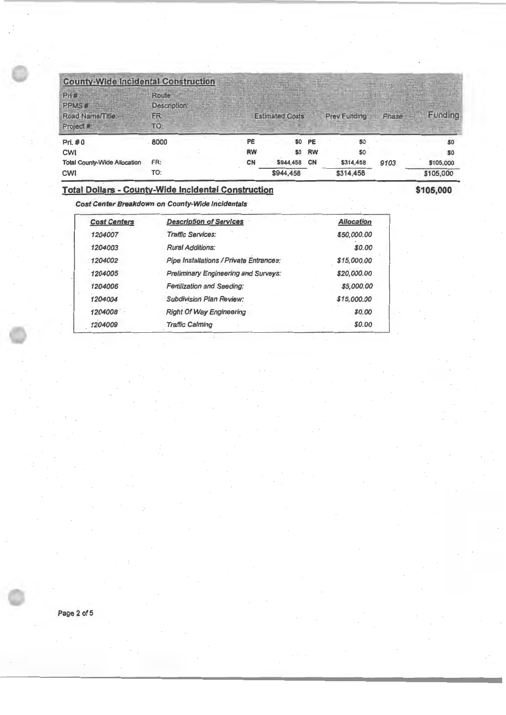| <b>County-Wide Incidental Construction</b>     |                                     |           | <b>Pitter Little College</b> |           |              |       |                |
|------------------------------------------------|-------------------------------------|-----------|------------------------------|-----------|--------------|-------|----------------|
| Pri#<br>PPMS#<br>Road Name/Title:<br>Project # | Route<br>Description:<br>FR:<br>TO: |           | <b>Estimated Costs</b>       |           | Prev Funding | Phase | Funding        |
| Pri. #0                                        | 8000                                | <b>PE</b> |                              | \$0 PE    | \$0          |       | \$0            |
| <b>CWI</b>                                     |                                     | <b>RW</b> | \$0                          | <b>RW</b> | \$0          |       | S <sub>0</sub> |
| <b>Total County-Wide Allocation</b>            | FR:                                 | CN        | \$944,458                    | <b>CN</b> | \$314,458    | 9103  | \$105,000      |
| <b>CWI</b>                                     | TO:                                 |           | \$944.458                    |           | \$314,458    |       | \$105,000      |

\$105,000

### Total Dollars - County-Wide Incidental Construction

Cost Center Breakdown on County-Wide Incidentals

| <b>Cost Centers</b> | <b>Description of Services</b>          | <b>Allocation</b> |
|---------------------|-----------------------------------------|-------------------|
| 1204007             | <b>Traffic Services:</b>                | \$50,000.00       |
| 1204003             | <b>Rural Additions:</b>                 | \$0.00            |
| 1204002             | Pipe Installations / Private Entrances: | \$15,000.00       |
| 1204005             | Preliminary Engineering and Surveys:    | \$20,000.00       |
| 1204006             | <b>Fertilization and Seeding:</b>       | \$5,000.00        |
| 1204004             | Subdivision Plan Review:                | \$15,000.00       |
| 1204008             | <b>Right Of Way Engineering</b>         | \$0.00            |
| 1204009             | <b>Traffic Calming</b>                  | \$0.00            |

Page 2 of 5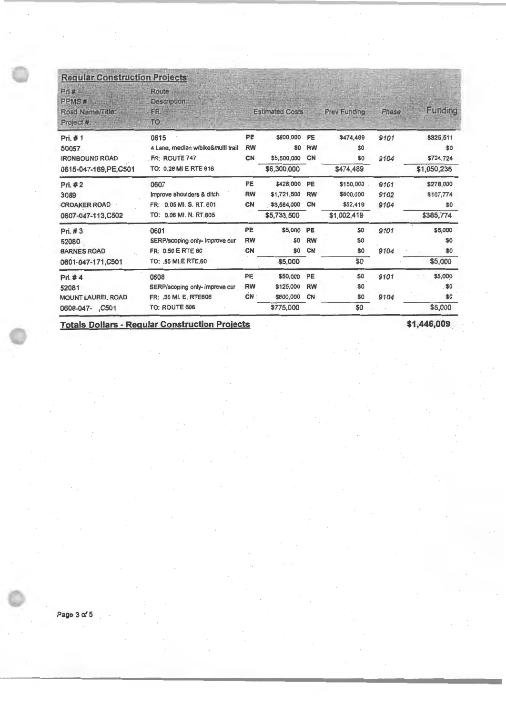# **Requiar Construction Projects**

| Pr#<br>PPMS <sup>#</sup><br>Road Name/Title:<br>Project #: | Route<br>Description:<br>FR:<br>TO. |           | <b>Estimated Costs</b> |           | Prev Funding | Phase | Funding     |
|------------------------------------------------------------|-------------------------------------|-----------|------------------------|-----------|--------------|-------|-------------|
| Pri. #1                                                    | 0615                                | PE        | \$800,000              | PE        | \$474,489    | 9101  | \$325,511   |
| 50057                                                      | 4 Lane, median w/bike&multi trail   | <b>RW</b> | \$0                    | <b>RW</b> | \$0          |       | \$0         |
| <b>IRONBOUND ROAD</b>                                      | FR: ROUTE 747                       | CN        | \$5,500,000            | CN        | \$0          | 9104  | \$724,724   |
| 0615-047-169, PE, C501                                     | TO: 0.26 MI E RTE 616               |           | \$6,300,000            |           | \$474,489    |       | \$1,050,235 |
| Pri. #2                                                    | 0607                                | <b>PE</b> | \$428,000              | PE        | \$150,000    | 9101  | \$278,000   |
| 3089                                                       | Improve shoulders & ditch           | <b>RW</b> | \$1,721,500            | <b>RW</b> | \$800,000    | 9102  | \$107,774   |
| <b>CROAKER ROAD</b>                                        | FR: 0.05 MI. S. RT. 601             | CN        | \$3,584,000            | <b>CN</b> | \$52,419     | 9104  | \$0         |
| 0607-047-113, C502                                         | TO: 0.06 MI. N. RT.605              |           | \$5,733,500            |           | \$1,002,419  |       | \$385,774   |
| Pri. #3                                                    | 0601                                | PE        | \$5,000                | PE        | \$0          | 9101  | \$5,000     |
| 52080                                                      | SERP/scoping only- improve cur      | <b>RW</b> | \$0                    | <b>RW</b> | \$0          |       | \$0         |
| <b>BARNES ROAD</b>                                         | FR: 0.50 E RTE 60                   | <b>CN</b> | \$0                    | <b>CN</b> | \$0          | 9104  | \$0         |
| 0601-047-171,C501                                          | TO: .65 MI.E RTE.60                 |           | \$5,000                |           | \$0          |       | \$5,000     |
| Pri. #4                                                    | 0608                                | PE        | \$50,000               | <b>PE</b> | \$0          | .9101 | \$5,000     |
| 52081                                                      | SERP/scoping only- improve cur      | <b>RW</b> | \$125,000              | <b>RW</b> | \$0          |       | . \$0       |
| <b>MOUNT LAUREL ROAD</b>                                   | FR: .30 MI. E. RTE606               | <b>CN</b> | \$600,000              | <b>CN</b> | \$0          | 9104  | \$0         |
| 0608-047- ,C501                                            | <b>TO: ROUTE 606</b>                |           | \$775,000              |           | \$0          |       | \$5,000     |

**Totals Dollars - Regular Construction Projects \$1,446,009**